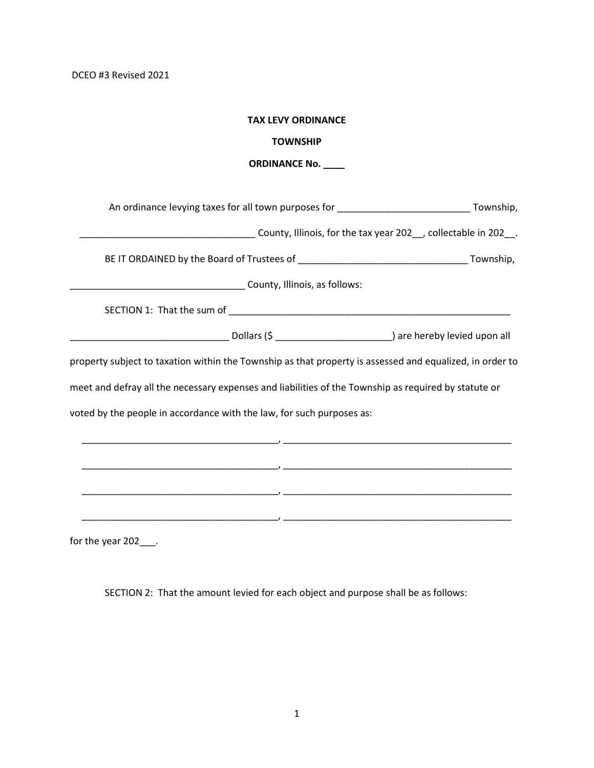DCEO #3 Revised 2021

| <b>TAX LEVY ORDINANCE</b>                                                                                |
|----------------------------------------------------------------------------------------------------------|
| <b>TOWNSHIP</b>                                                                                          |
| <b>ORDINANCE No.</b>                                                                                     |
|                                                                                                          |
| An ordinance levying taxes for all town purposes for _________________________________Township,          |
| County, Illinois, for the tax year 202_, collectable in 202_.                                            |
|                                                                                                          |
|                                                                                                          |
|                                                                                                          |
|                                                                                                          |
| property subject to taxation within the Township as that property is assessed and equalized, in order to |
| meet and defray all the necessary expenses and liabilities of the Township as required by statute or     |
| voted by the people in accordance with the law, for such purposes as:                                    |
|                                                                                                          |
|                                                                                                          |
|                                                                                                          |
|                                                                                                          |
|                                                                                                          |
| for the year 202____.                                                                                    |

SECTION 2: That the amount levied for each object and purpose shall be as follows: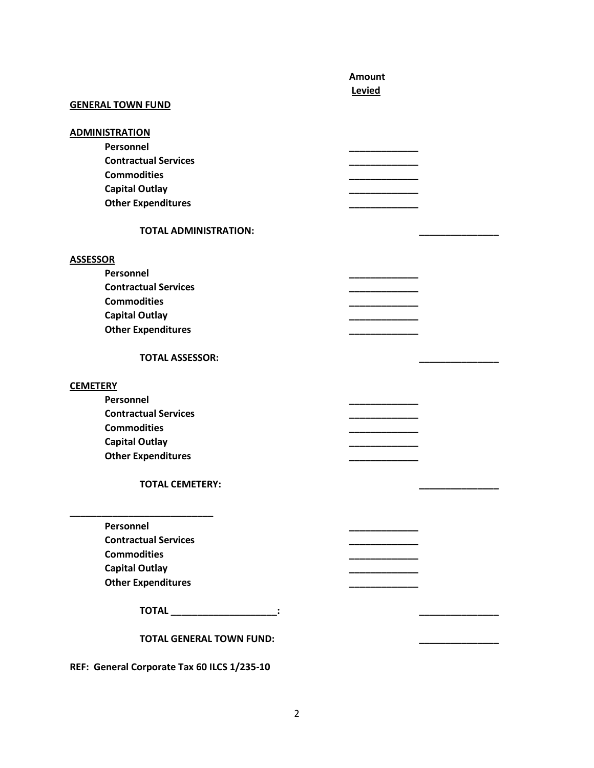|                                             | <b>Amount</b> |
|---------------------------------------------|---------------|
|                                             | Levied        |
| <b>GENERAL TOWN FUND</b>                    |               |
|                                             |               |
| <b>ADMINISTRATION</b>                       |               |
| Personnel                                   |               |
| <b>Contractual Services</b>                 |               |
| <b>Commodities</b>                          |               |
| <b>Capital Outlay</b>                       |               |
| <b>Other Expenditures</b>                   |               |
| <b>TOTAL ADMINISTRATION:</b>                |               |
| <b>ASSESSOR</b>                             |               |
| Personnel                                   |               |
| <b>Contractual Services</b>                 |               |
| <b>Commodities</b>                          |               |
| <b>Capital Outlay</b>                       |               |
| <b>Other Expenditures</b>                   |               |
|                                             |               |
| <b>TOTAL ASSESSOR:</b>                      |               |
|                                             |               |
| <b>CEMETERY</b>                             |               |
| Personnel                                   |               |
| <b>Contractual Services</b>                 |               |
| <b>Commodities</b>                          |               |
| <b>Capital Outlay</b>                       |               |
| <b>Other Expenditures</b>                   |               |
|                                             |               |
| <b>TOTAL CEMETERY:</b>                      |               |
|                                             |               |
|                                             |               |
| Personnel                                   |               |
| <b>Contractual Services</b>                 |               |
| <b>Commodities</b>                          |               |
| <b>Capital Outlay</b>                       |               |
| <b>Other Expenditures</b>                   |               |
| TOTAL ______________________:               |               |
| <b>TOTAL GENERAL TOWN FUND:</b>             |               |
| REF: General Corporate Tax 60 ILCS 1/235-10 |               |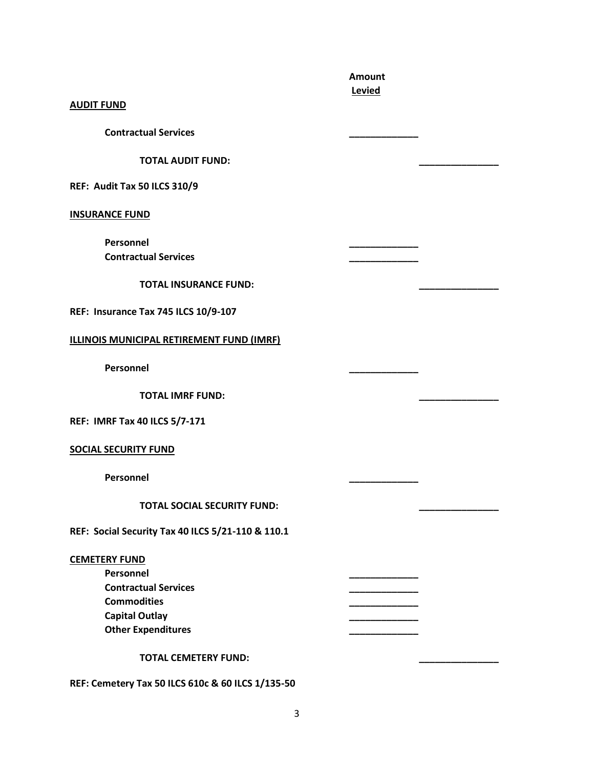|                                                   | <b>Amount</b><br>Levied |  |
|---------------------------------------------------|-------------------------|--|
| <b>AUDIT FUND</b>                                 |                         |  |
| <b>Contractual Services</b>                       |                         |  |
| <b>TOTAL AUDIT FUND:</b>                          |                         |  |
| REF: Audit Tax 50 ILCS 310/9                      |                         |  |
| <b>INSURANCE FUND</b>                             |                         |  |
| Personnel                                         |                         |  |
| <b>Contractual Services</b>                       |                         |  |
| <b>TOTAL INSURANCE FUND:</b>                      |                         |  |
| REF: Insurance Tax 745 ILCS 10/9-107              |                         |  |
| ILLINOIS MUNICIPAL RETIREMENT FUND (IMRF)         |                         |  |
| Personnel                                         |                         |  |
| <b>TOTAL IMRF FUND:</b>                           |                         |  |
| <b>REF: IMRF Tax 40 ILCS 5/7-171</b>              |                         |  |
| <b>SOCIAL SECURITY FUND</b>                       |                         |  |
| Personnel                                         |                         |  |
| <b>TOTAL SOCIAL SECURITY FUND:</b>                |                         |  |
| REF: Social Security Tax 40 ILCS 5/21-110 & 110.1 |                         |  |
| <b>CEMETERY FUND</b>                              |                         |  |
| Personnel                                         |                         |  |
| <b>Contractual Services</b>                       | ________                |  |
| <b>Commodities</b>                                |                         |  |
| <b>Capital Outlay</b>                             |                         |  |
| <b>Other Expenditures</b>                         |                         |  |
| <b>TOTAL CEMETERY FUND:</b>                       |                         |  |

**REF: Cemetery Tax 50 ILCS 610c & 60 ILCS 1/135-50**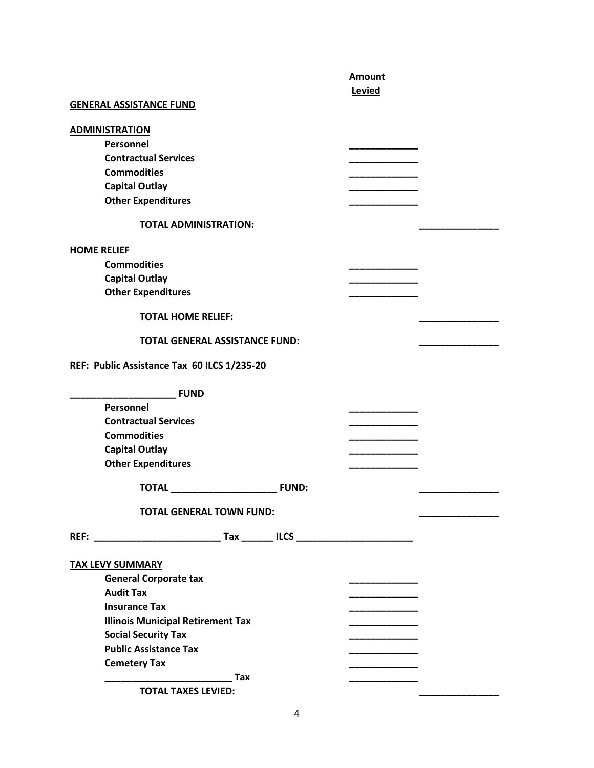|                                             | Amount      |  |
|---------------------------------------------|-------------|--|
|                                             | Levied      |  |
| <b>GENERAL ASSISTANCE FUND</b>              |             |  |
|                                             |             |  |
| <b>ADMINISTRATION</b>                       |             |  |
| <b>Personnel</b>                            |             |  |
| <b>Contractual Services</b>                 |             |  |
| <b>Commodities</b>                          |             |  |
| <b>Capital Outlay</b>                       |             |  |
| <b>Other Expenditures</b>                   |             |  |
| <b>TOTAL ADMINISTRATION:</b>                |             |  |
| <b>HOME RELIEF</b>                          |             |  |
| <b>Commodities</b>                          |             |  |
| <b>Capital Outlay</b>                       |             |  |
| <b>Other Expenditures</b>                   |             |  |
|                                             |             |  |
| <b>TOTAL HOME RELIEF:</b>                   |             |  |
| <b>TOTAL GENERAL ASSISTANCE FUND:</b>       |             |  |
| REF: Public Assistance Tax 60 ILCS 1/235-20 |             |  |
| <b>FUND</b>                                 |             |  |
| Personnel                                   |             |  |
| <b>Contractual Services</b>                 |             |  |
| <b>Commodities</b>                          |             |  |
| <b>Capital Outlay</b>                       |             |  |
| <b>Other Expenditures</b>                   |             |  |
| <b>TOTAL</b><br><b>FUND:</b>                |             |  |
| <b>TOTAL GENERAL TOWN FUND:</b>             |             |  |
|                                             |             |  |
|                                             |             |  |
| <b>TAX LEVY SUMMARY</b>                     |             |  |
| <b>General Corporate tax</b>                | __________  |  |
| <b>Audit Tax</b>                            |             |  |
| <b>Insurance Tax</b>                        | ___________ |  |
| <b>Illinois Municipal Retirement Tax</b>    | ___________ |  |
| <b>Social Security Tax</b>                  |             |  |
| <b>Public Assistance Tax</b>                | _________   |  |
| <b>Cemetery Tax</b>                         |             |  |
| <b>Tax</b>                                  |             |  |
| <b>TOTAL TAXES LEVIED:</b>                  |             |  |
|                                             |             |  |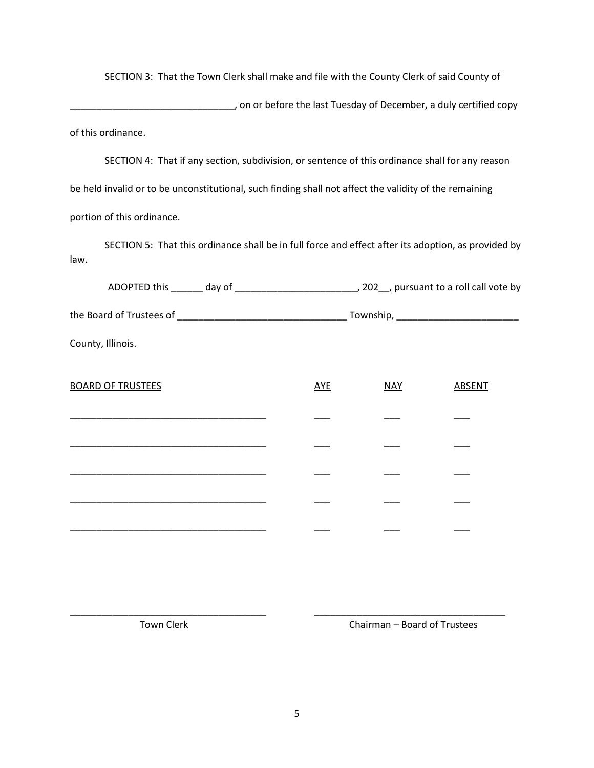SECTION 3: That the Town Clerk shall make and file with the County Clerk of said County of

\_\_\_\_\_\_\_\_\_\_\_\_\_\_\_\_\_\_\_\_\_\_\_\_\_\_\_\_\_\_\_, on or before the last Tuesday of December, a duly certified copy of this ordinance.

SECTION 4: That if any section, subdivision, or sentence of this ordinance shall for any reason be held invalid or to be unconstitutional, such finding shall not affect the validity of the remaining portion of this ordinance.

SECTION 5: That this ordinance shall be in full force and effect after its adoption, as provided by law.

| County, Illinois.        |            |            |               |
|--------------------------|------------|------------|---------------|
| <b>BOARD OF TRUSTEES</b> | <u>AYE</u> | <b>NAY</b> | <b>ABSENT</b> |
|                          |            |            |               |
|                          |            |            |               |
|                          |            |            |               |
|                          |            |            |               |

\_\_\_\_\_\_\_\_\_\_\_\_\_\_\_\_\_\_\_\_\_\_\_\_\_\_\_\_\_\_\_\_\_\_\_\_\_ \_\_\_ \_\_\_ \_\_\_

Town Clerk Chairman – Board of Trustees

\_\_\_\_\_\_\_\_\_\_\_\_\_\_\_\_\_\_\_\_\_\_\_\_\_\_\_\_\_\_\_\_\_\_\_\_\_ \_\_\_\_\_\_\_\_\_\_\_\_\_\_\_\_\_\_\_\_\_\_\_\_\_\_\_\_\_\_\_\_\_\_\_\_